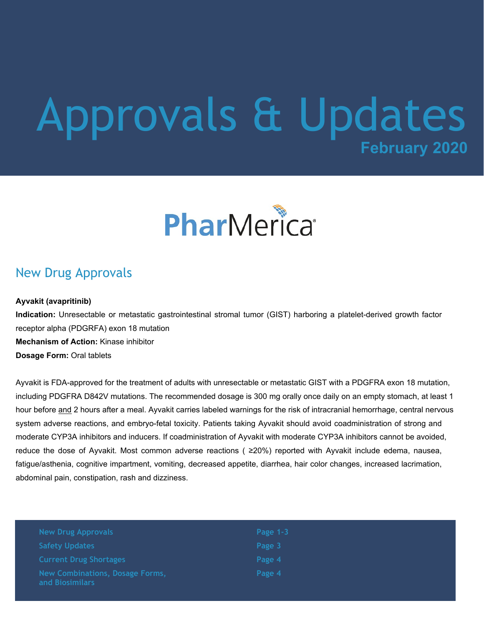## **February 2020** Approvals & Updates

# PharMerica®

#### New Drug Approvals

#### **Ayvakit (avapritinib)**

**Indication:** Unresectable or metastatic gastrointestinal stromal tumor (GIST) harboring a platelet-derived growth factor receptor alpha (PDGRFA) exon 18 mutation **Mechanism of Action:** Kinase inhibitor **Dosage Form:** Oral tablets

Ayvakit is FDA-approved for the treatment of adults with unresectable or metastatic GIST with a PDGFRA exon 18 mutation, including PDGFRA D842V mutations. The recommended dosage is 300 mg orally once daily on an empty stomach, at least 1 hour before and 2 hours after a meal. Ayvakit carries labeled warnings for the risk of intracranial hemorrhage, central nervous system adverse reactions, and embryo-fetal toxicity. Patients taking Ayvakit should avoid coadministration of strong and moderate CYP3A inhibitors and inducers. If coadministration of Ayvakit with moderate CYP3A inhibitors cannot be avoided, reduce the dose of Ayvakit. Most common adverse reactions ( ≥20%) reported with Ayvakit include edema, nausea, fatigue/asthenia, cognitive impartment, vomiting, decreased appetite, diarrhea, hair color changes, increased lacrimation, abdominal pain, constipation, rash and dizziness.

| <b>New Drug Approvals</b>                                 | Page $1-3$ |
|-----------------------------------------------------------|------------|
| <b>Safety Updates</b>                                     | Page 3     |
| <b>Current Drug Shortages</b>                             | Page 4     |
| <b>New Combinations, Dosage Forms,</b><br>and Biosimilars | Page 4     |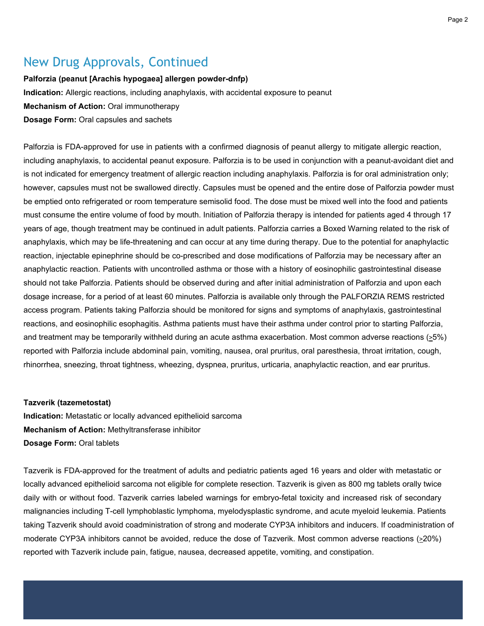#### New Drug Approvals, Continued

**Palforzia (peanut [Arachis hypogaea] allergen powder-dnfp) Indication:** Allergic reactions, including anaphylaxis, with accidental exposure to peanut **Mechanism of Action:** Oral immunotherapy **Dosage Form:** Oral capsules and sachets

Palforzia is FDA-approved for use in patients with a confirmed diagnosis of peanut allergy to mitigate allergic reaction, including anaphylaxis, to accidental peanut exposure. Palforzia is to be used in conjunction with a peanut-avoidant diet and is not indicated for emergency treatment of allergic reaction including anaphylaxis. Palforzia is for oral administration only; however, capsules must not be swallowed directly. Capsules must be opened and the entire dose of Palforzia powder must be emptied onto refrigerated or room temperature semisolid food. The dose must be mixed well into the food and patients must consume the entire volume of food by mouth. Initiation of Palforzia therapy is intended for patients aged 4 through 17 years of age, though treatment may be continued in adult patients. Palforzia carries a Boxed Warning related to the risk of anaphylaxis, which may be life-threatening and can occur at any time during therapy. Due to the potential for anaphylactic reaction, injectable epinephrine should be co-prescribed and dose modifications of Palforzia may be necessary after an anaphylactic reaction. Patients with uncontrolled asthma or those with a history of eosinophilic gastrointestinal disease should not take Palforzia. Patients should be observed during and after initial administration of Palforzia and upon each dosage increase, for a period of at least 60 minutes. Palforzia is available only through the PALFORZIA REMS restricted access program. Patients taking Palforzia should be monitored for signs and symptoms of anaphylaxis, gastrointestinal reactions, and eosinophilic esophagitis. Asthma patients must have their asthma under control prior to starting Palforzia, and treatment may be temporarily withheld during an acute asthma exacerbation. Most common adverse reactions  $(25%)$ reported with Palforzia include abdominal pain, vomiting, nausea, oral pruritus, oral paresthesia, throat irritation, cough, rhinorrhea, sneezing, throat tightness, wheezing, dyspnea, pruritus, urticaria, anaphylactic reaction, and ear pruritus.

#### **Tazverik (tazemetostat)**

**Indication:** Metastatic or locally advanced epithelioid sarcoma **Mechanism of Action:** Methyltransferase inhibitor **Dosage Form:** Oral tablets

Tazverik is FDA-approved for the treatment of adults and pediatric patients aged 16 years and older with metastatic or locally advanced epithelioid sarcoma not eligible for complete resection. Tazverik is given as 800 mg tablets orally twice daily with or without food. Tazverik carries labeled warnings for embryo-fetal toxicity and increased risk of secondary malignancies including T-cell lymphoblastic lymphoma, myelodysplastic syndrome, and acute myeloid leukemia. Patients taking Tazverik should avoid coadministration of strong and moderate CYP3A inhibitors and inducers. If coadministration of moderate CYP3A inhibitors cannot be avoided, reduce the dose of Tazverik. Most common adverse reactions (>20%) reported with Tazverik include pain, fatigue, nausea, decreased appetite, vomiting, and constipation.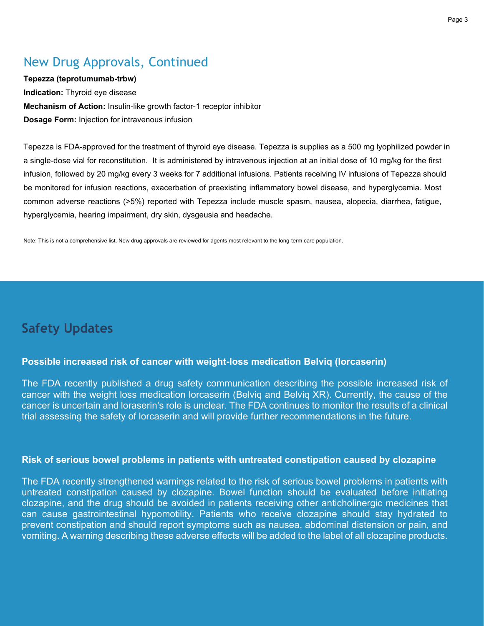## New Drug Approvals, Continued

**Tepezza (teprotumumab-trbw) Indication:** Thyroid eye disease **Mechanism of Action:** Insulin-like growth factor-1 receptor inhibitor **Dosage Form:** Injection for intravenous infusion

Tepezza is FDA-approved for the treatment of thyroid eye disease. Tepezza is supplies as a 500 mg lyophilized powder in a single-dose vial for reconstitution. It is administered by intravenous injection at an initial dose of 10 mg/kg for the first infusion, followed by 20 mg/kg every 3 weeks for 7 additional infusions. Patients receiving IV infusions of Tepezza should be monitored for infusion reactions, exacerbation of preexisting inflammatory bowel disease, and hyperglycemia. Most common adverse reactions (>5%) reported with Tepezza include muscle spasm, nausea, alopecia, diarrhea, fatigue, hyperglycemia, hearing impairment, dry skin, dysgeusia and headache.

Note: This is not a comprehensive list. New drug approvals are reviewed for agents most relevant to the long-term care population.

## **Safety Updates**

#### **Possible increased risk of cancer with weight-loss medication Belviq (lorcaserin)**

The FDA recently published a drug safety communication describing the possible increased risk of cancer with the weight loss medication lorcaserin (Belviq and Belviq XR). Currently, the cause of the cancer is uncertain and loraserin's role is unclear. The FDA continues to monitor the results of a clinical trial assessing the safety of lorcaserin and will provide further recommendations in the future.

#### **Risk of serious bowel problems in patients with untreated constipation caused by clozapine**

The FDA recently strengthened warnings related to the risk of serious bowel problems in patients with untreated constipation caused by clozapine. Bowel function should be evaluated before initiating clozapine, and the drug should be avoided in patients receiving other anticholinergic medicines that can cause gastrointestinal hypomotility. Patients who receive clozapine should stay hydrated to prevent constipation and should report symptoms such as nausea, abdominal distension or pain, and vomiting. A warning describing these adverse effects will be added to the label of all clozapine products.